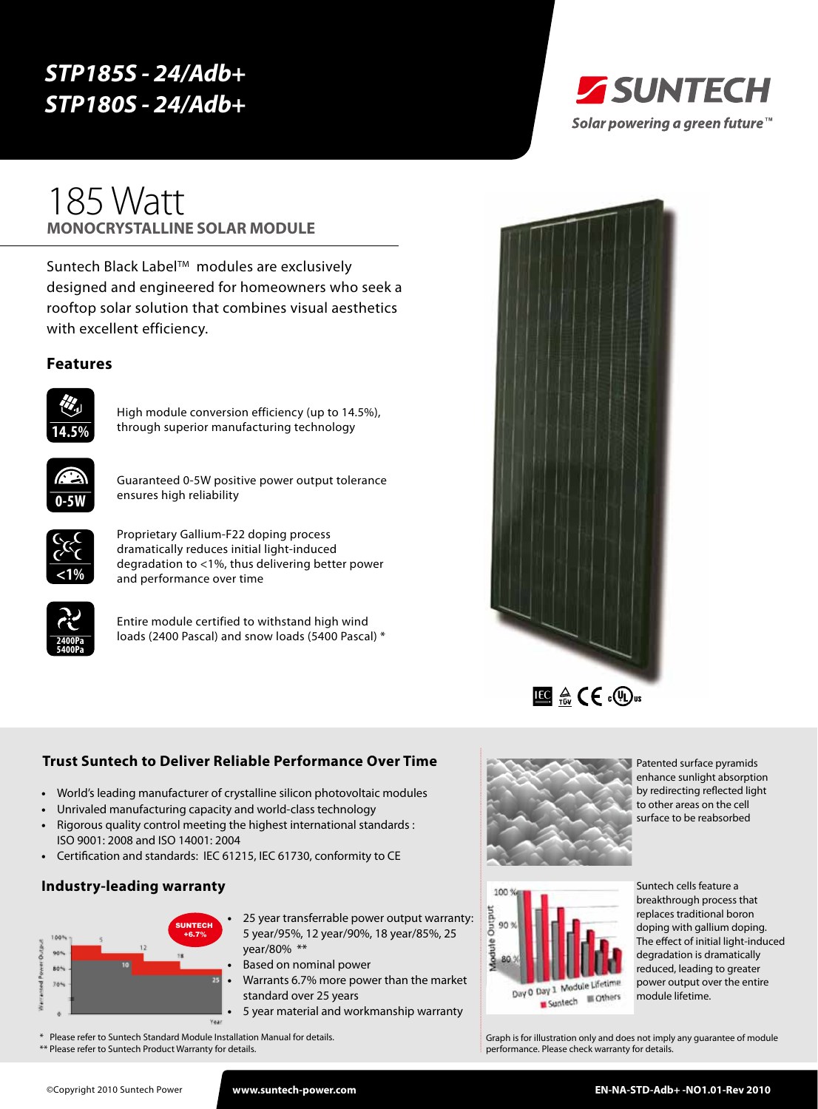# *STP185S - 24/Adb+ STP180S - 24/Adb+*



# **monocrystalline solar module** 185 Watt

Suntech Black Label™ modules are exclusively designed and engineered for homeowners who seek a rooftop solar solution that combines visual aesthetics with excellent efficiency.

#### **Features**



High module conversion efficiency (up to 14.5%), through superior manufacturing technology



Guaranteed 0-5W positive power output tolerance ensures high reliability



Proprietary Gallium-F22 doping process dramatically reduces initial light-induced degradation to <1%, thus delivering better power and performance over time



Entire module certified to withstand high wind loads (2400 Pascal) and snow loads (5400 Pascal) \*



# **Trust Suntech to Deliver Reliable Performance Over Time**

- **•**  World's leading manufacturer of crystalline silicon photovoltaic modules
- Unrivaled manufacturing capacity and world-class technology
- **•**  Rigorous quality control meeting the highest international standards : ISO 9001: 2008 and ISO 14001: 2004
- **•**  Certification and standards: IEC 61215, IEC 61730, conformity to CE

#### **Industry-leading warranty**



- 25 year transferrable power output warranty: 5 year/95%, 12 year/90%, 18 year/85%, 25 year/80% \*\*
- **Based on nominal power**
- **•**  Warrants 6.7% more power than the market standard over 25 years
- **5 year material and workmanship warranty**
- \* Please refer to Suntech Standard Module Installation Manual for details.
- \*\* Please refer to Suntech Product Warranty for details.



Patented surface pyramids enhance sunlight absorption by redirecting reflected light to other areas on the cell surface to be reabsorbed



Suntech cells feature a breakthrough process that replaces traditional boron doping with gallium doping. The effect of initial light-induced degradation is dramatically reduced, leading to greater power output over the entire module lifetime.

Graph is for illustration only and does not imply any guarantee of module performance. Please check warranty for details.